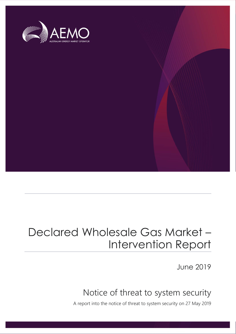

# Declared Wholesale Gas Market – Intervention Report

June 2019

## Notice of threat to system security

A report into the notice of threat to system security on 27 May 2019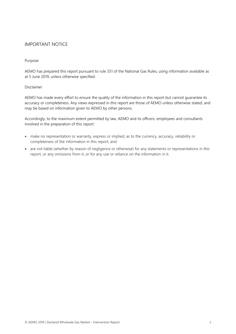#### IMPORTANT NOTICE

#### Purpose

AEMO has prepared this report pursuant to rule 351 of the National Gas Rules, using information available as at 5 June 2019, unless otherwise specified.

#### Disclaimer

AEMO has made every effort to ensure the quality of the information in this report but cannot guarantee its accuracy or completeness. Any views expressed in this report are those of AEMO unless otherwise stated, and may be based on information given to AEMO by other persons.

Accordingly, to the maximum extent permitted by law, AEMO and its officers, employees and consultants involved in the preparation of this report:

- make no representation or warranty, express or implied, as to the currency, accuracy, reliability or completeness of the information in this report; and
- are not liable (whether by reason of negligence or otherwise) for any statements or representations in this report, or any omissions from it, or for any use or reliance on the information in it.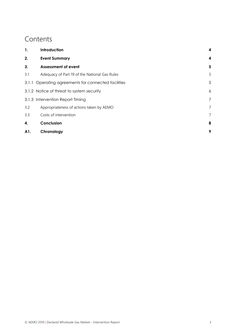## **Contents**

| 1.  | Introduction                                        | 4 |
|-----|-----------------------------------------------------|---|
| 2.  | <b>Event Summary</b>                                | 4 |
| 3.  | <b>Assessment of event</b>                          | 5 |
| 3.1 | Adequacy of Part 19 of the National Gas Rules       | 5 |
|     | 3.1.1 Operating agreements for connected facilities | 5 |
|     | 3.1.2 Notice of threat to system security           | 6 |
|     | 3.1.3 Intervention Report Timing                    | 7 |
| 3.2 | Appropriateness of actions taken by AEMO            | 7 |
| 3.3 | Costs of intervention                               | 7 |
| 4.  | Conclusion                                          | 8 |
| A1. | Chronology                                          | 9 |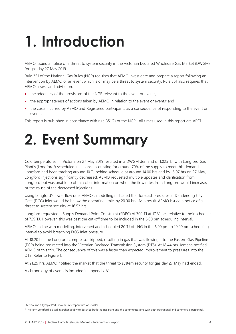# <span id="page-3-0"></span>**1. Introduction**

AEMO issued a notice of a threat to system security in the Victorian Declared Wholesale Gas Market (DWGM) for gas day 27 May 2019.

Rule 351 of the National Gas Rules (NGR) requires that AEMO investigate and prepare a report following an intervention by AEMO or an event which is or may be a threat to system security. Rule 351 also requires that AEMO assess and advise on:

- the adequacy of the provisions of the NGR relevant to the event or events:
- the appropriateness of actions taken by AEMO in relation to the event or events; and
- the costs incurred by AEMO and Registered participants as a consequence of responding to the event or events.

This report is published in accordance with rule 351(2) of the NGR. All times used in this report are AEST.

# <span id="page-3-1"></span>**2. Event Summary**

Cold temperatures<sup>1</sup> in Victoria on 27 May 2019 resulted in a DWGM demand of 1,025 TJ, with Longford Gas Plant's (Longford<sup>2</sup>) scheduled injections accounting for around 70% of the supply to meet this demand. Longford had been tracking around 10 TJ behind schedule at around 14.00 hrs and by 15.07 hrs on 27 May, Longford injections significantly decreased. AEMO requested multiple updates and clarification from Longford but was unable to obtain clear information on when the flow rates from Longford would increase, or the cause of the decreased injections.

Using Longford's lower flow rate, AEMO's modelling indicated that forecast pressures at Dandenong City Gate (DCG) Inlet would be below the operating limits by 20.00 hrs. As a result, AEMO issued a notice of a threat to system security at 16.53 hrs.

Longford requested a Supply Demand Point Constraint (SDPC) of 700 TJ at 17.31 hrs, relative to their schedule of 729 TJ. However, this was past the cut-off time to be included in the 6.00 pm scheduling interval.

AEMO, in line with modelling, intervened and scheduled 20 TJ of LNG in the 6.00 pm to 10.00 pm scheduling interval to avoid breaching DCG Inlet pressure.

At 18.20 hrs the Longford compressor tripped, resulting in gas that was flowing into the Eastern Gas Pipeline (EGP) being redirected into the Victorian Declared Transmission System (DTS). At 18.44 hrs, Jemena notified AEMO of this trip. The consequence of this was a faster than expected improvement to pressures into the DTS. Refer to Figure 1.

At 21.25 hrs, AEMO notified the market that the threat to system security for gas day 27 May had ended.

A chronology of events is included in appendix [A1.](#page-8-0)

 $\overline{a}$ 

<sup>1</sup> Melbourne (Olympic Park) maximum temperature was 14.0°C

<sup>&</sup>lt;sup>2</sup> The term Longford is used interchangeably to describe both the gas plant and the communications with both operational and commercial personnel.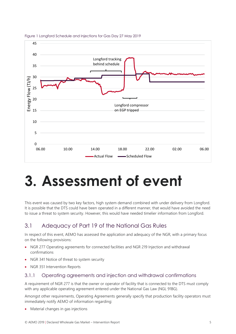

Figure 1 Longford Schedule and Injections for Gas Day 27 May 2019

# <span id="page-4-0"></span>**3. Assessment of event**

This event was caused by two key factors, high system demand combined with under delivery from Longford. It is possible that the DTS could have been operated in a different manner, that would have avoided the need to issue a threat to system security. However, this would have needed timelier information from Longford.

### <span id="page-4-1"></span>3.1 Adequacy of Part 19 of the National Gas Rules

In respect of this event, AEMO has assessed the application and adequacy of the NGR, with a primary focus on the following provisions:

- NGR 277 Operating agreements for connected facilities and NGR 219 Injection and withdrawal confirmations
- NGR 341 Notice of threat to system security
- NGR 351 Intervention Reports

#### <span id="page-4-2"></span>3.1.1 Operating agreements and injection and withdrawal confirmations

A requirement of NGR 277 is that the owner or operator of facility that is connected to the DTS must comply with any applicable operating agreement entered under the National Gas Law (NGL 91BG).

Amongst other requirements, Operating Agreements generally specify that production facility operators must immediately notify AEMO of information regarding:

• Material changes in gas injections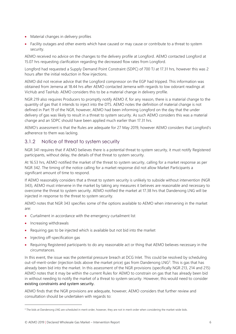- Material changes in delivery profiles
- Facility outages and other events which have caused or may cause or contribute to a threat to system security.

AEMO received no advice on the changes to the delivery profile at Longford. AEMO contacted Longford at 15.07 hrs requesting clarification regarding the decreased flow rates from Longford.

Longford had requested a Supply Demand Point Constraint (SDPC) of 700 TJ at 17.31 hrs, however this was 2 hours after the initial reduction in flow injections.

AEMO did not receive advice that the Longford compressor on the EGP had tripped. This information was obtained from Jemena at 18.44 hrs after AEMO contacted Jemena with regards to low odorant readings at VicHub and TasHub. AEMO considers this to be a material change in delivery profile.

NGR 219 also requires Producers to promptly notify AEMO if, for any reason, there is a material change to the quantity of gas that it intends to inject into the DTS. AEMO notes the definition of material change is not defined in Part 19 of the NGR, however, AEMO had been informing Longford on the day that the under delivery of gas was likely to result in a threat to system security. As such AEMO considers this was a material change and an SDPC should have been applied much earlier than 17.31 hrs.

AEMO's assessment is that the Rules are adequate for 27 May 2019, however AEMO considers that Longford's adherence to them was lacking.

### <span id="page-5-0"></span>3.1.2 Notice of threat to system security

NGR 341 requires that if AEMO believes there is a potential threat to system security, it must notify Registered participants, without delay, the details of that threat to system security.

At 16.53 hrs, AEMO notified the market of the threat to system security, calling for a market response as per NGR 342. The timing of the notice calling for a market response did not allow Market Participants a significant amount of time to respond.

If AEMO reasonably considers that a threat to system security is unlikely to subside without intervention (NGR 343), AEMO must intervene in the market by taking any measures it believes are reasonable and necessary to overcome the threat to system security. AEMO notified the market at 17.38 hrs that Dandenong LNG will be injected in response to the threat to system security.

AEMO notes that NGR 343 specifies some of the options available to AEMO when intervening in the market are:

- Curtailment in accordance with the emergency curtailment list
- Increasing withdrawals

 $\overline{a}$ 

- Requiring gas to be injected which is available but not bid into the market
- Injecting off-specification gas
- Requiring Registered participants to do any reasonable act or thing that AEMO believes necessary in the circumstances.

In this event, the issue was the potential pressure breach at DCG Inlet. This could be resolved by scheduling out-of-merit-order (injection bids above the market price) gas from Dandenong LNG<sup>3</sup>. This is gas that has already been bid into the market. In this assessment of the NGR provisions (specifically NGR 213, 214 and 215) AEMO notes that it may be within the current Rules for AEMO to constrain on gas that has already been bid in without needing to notify the market of a threat to system security. However, this would need to consider existing constraints and system security.

AEMO finds that the NGR provisions are adequate, however, AEMO considers that further review and consultation should be undertaken with regards to:

<sup>&</sup>lt;sup>3</sup> The bids at Dandenong LNG are scheduled in merit order, however, they are not in merit order when considering the market-wide bids.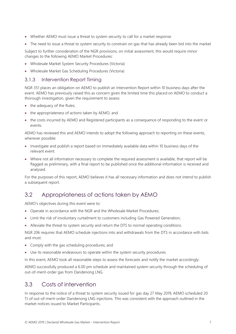- Whether AEMO must issue a threat to system security to call for a market response
- The need to issue a threat to system security to constrain on gas that has already been bid into the market

Subject to further consideration of the NGR provisions, on initial assessment, this would require minor changes to the following AEMO Market Procedures:

- Wholesale Market System Security Procedures (Victoria)
- Wholesale Market Gas Scheduling Procedures (Victoria)

### <span id="page-6-0"></span>3.1.3 Intervention Report Timing

NGR 351 places an obligation on AEMO to publish an Intervention Report within 10 business days after the event. AEMO has previously raised this as concern given the limited time this placed on AEMO to conduct a thorough investigation, given the requirement to assess:

- the adequacy of the Rules;
- the appropriateness of actions taken by AEMO; and
- the costs incurred by AEMO and Registered participants as a consequence of responding to the event or events.

AEMO has reviewed this and AEMO intends to adopt the following approach to reporting on these events, wherever possible:

- Investigate and publish a report based on immediately available data within 10 business days of the relevant event.
- Where not all information necessary to complete the required assessment is available, that report will be flagged as preliminary, with a final report to be published once the additional information is received and analysed.

For the purposes of this report, AEMO believes it has all necessary information and does not intend to publish a subsequent report.

### <span id="page-6-1"></span>3.2 Appropriateness of actions taken by AEMO

AEMO's objectives during this event were to:

- Operate in accordance with the NGR and the Wholesale Market Procedures;
- Limit the risk of involuntary curtailment to customers including Gas Powered Generation;
- Alleviate the threat to system security and return the DTS to normal operating conditions.

NGR 206 requires that AEMO schedule injections into and withdrawals from the DTS in accordance with bids and must:

- Comply with the gas scheduling procedures; and
- Use its reasonable endeavours to operate within the system security procedures.

In this event, AEMO took all reasonable steps to assess the forecasts and notify the market accordingly.

AEMO successfully produced a 6.00 pm schedule and maintained system security through the scheduling of out-of-merit-order gas from Dandenong LNG.

### <span id="page-6-2"></span>3.3 Costs of intervention

In response to the notice of a threat to system security issued for gas day 27 May 2019, AEMO scheduled 20 TJ of out-of-merit-order Dandenong LNG injections. This was consistent with the approach outlined in the market notices issued to Market Participants.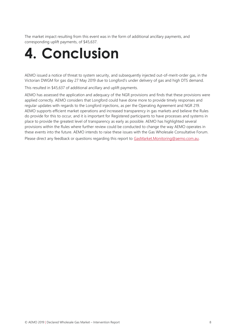The market impact resulting from this event was in the form of additional ancillary payments, and corresponding uplift payments, of \$45,637.

# <span id="page-7-0"></span>**4. Conclusion**

AEMO issued a notice of threat to system security, and subsequently injected out-of-merit-order gas, in the Victorian DWGM for gas day 27 May 2019 due to Longford's under delivery of gas and high DTS demand.

This resulted in \$45,637 of additional ancillary and uplift payments.

AEMO has assessed the application and adequacy of the NGR provisions and finds that these provisions were applied correctly. AEMO considers that Longford could have done more to provide timely responses and regular updates with regards to the Longford injections, as per the Operating Agreement and NGR 219. AEMO supports efficient market operations and increased transparency in gas markets and believe the Rules do provide for this to occur, and it is important for Registered participants to have processes and systems in place to provide the greatest level of transparency as early as possible. AEMO has highlighted several provisions within the Rules where further review could be conducted to change the way AEMO operates in these events into the future. AEMO intends to raise these issues with the Gas Wholesale Consultative Forum. Please direct any feedback or questions regarding this report to [GasMarket.Monitoring@aemo.com.au.](mailto:GasMarket.Monitoring@aemo.com.au)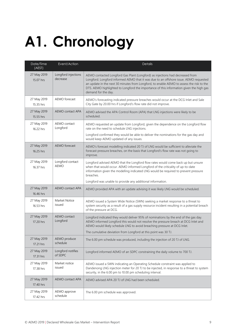# <span id="page-8-0"></span>**A1. Chronology**

| Date/Time<br>(AEST)      | Event/Action                    | <b>Details</b>                                                                                                                                                                                                                                                                                                                                                                       |
|--------------------------|---------------------------------|--------------------------------------------------------------------------------------------------------------------------------------------------------------------------------------------------------------------------------------------------------------------------------------------------------------------------------------------------------------------------------------|
| 27 May 2019<br>15.07 hrs | Longford injections<br>decrease | AEMO contacted Longford Gas Plant (Longford) as injections had decreased from<br>Longford. Longford informed AEMO that it was due to an offshore issue. AEMO requested<br>an update in the next 30 minutes from Longford, to enable AEMO to assess the risk to the<br>DTS. AEMO highlighted to Longford the importance of this information given the high gas<br>demand for the day. |
| 27 May 2019<br>15.35 hrs | AEMO forecast                   | AEMO's forecasting indicated pressure breaches would occur at the DCG Inlet and Sale<br>City Gate by 20.00 hrs if Longford's flow rate did not improve.                                                                                                                                                                                                                              |
| 27 May 2019<br>15.55 hrs | AEMO contact APA                | AEMO advised the APA Control Room (APA) that LNG injections were likely to be<br>scheduled.                                                                                                                                                                                                                                                                                          |
| 27 May 2019<br>16.22 hrs | AEMO contact<br>Longford        | AEMO requested an update from Longford, given the dependence on the Longford flow<br>rate on the need to schedule LNG injections.                                                                                                                                                                                                                                                    |
|                          |                                 | Longford confirmed they would be able to deliver the nominations for the gas day and<br>would keep AEMO updated of any issues.                                                                                                                                                                                                                                                       |
| 27 May 2019<br>16.25 hrs | AEMO forecast                   | AEMO's forecast modelling indicated 20 TJ of LNG would be sufficient to alleviate the<br>forecast pressure breaches, on the basis that Longford's flow rate was not going to<br>improve.                                                                                                                                                                                             |
| 27 May 2019<br>16.37 hrs | Longford contact<br><b>AEMO</b> | Longford advised AEMO that the Longford flow rates would come back up but unsure<br>when that would occur. AEMO informed Longford of the criticality of up-to-date<br>information given the modelling indicated LNG would be required to prevent pressure<br>breaches.<br>Longford was unable to provide any additional information.                                                 |
| 27 May 2019<br>16.46 hrs | <b>AEMO</b> contact APA         | AEMO provided APA with an update advising it was likely LNG would be scheduled.                                                                                                                                                                                                                                                                                                      |
| 27 May 2019<br>16.53 hrs | Market Notice<br>issued         | AEMO issued a System Wide Notice (SWN) seeking a market response to a threat to<br>system security as a result of a gas supply resource incident resulting in a potential breach<br>of the pressure at DCG.                                                                                                                                                                          |
| 27 May 2019<br>17.20 hrs | AEMO contact<br>Longford        | Longford indicated they would deliver 95% of nominations by the end of the gas day.<br>AEMO informed Longford this would not resolve the pressure breach at DCG Inlet and<br>AEMO would likely schedule LNG to avoid breaching pressure at DCG Inlet.                                                                                                                                |
| 27 May 2019<br>17.21 hrs | AEMO produce<br>schedule        | The cumulative deviation from Longford at this point was 30 TJ.<br>The 6.00 pm schedule was produced, including the injection of 20 TJ of LNG.                                                                                                                                                                                                                                       |
| 27 May 2019<br>17.31 hrs | Longford notifies<br>of SDPC    | Longford informed AEMO of an SDPC constraining the daily volume to 700 TJ.                                                                                                                                                                                                                                                                                                           |
| 27 May 2019<br>17.38 hrs | Market notice<br>issued         | AEMO issued a SWN indicating an Operating Schedule constraint was applied to<br>Dandenong LNG injection meter for 20 TJ to be injected, in response to a threat to system<br>security, in the 6.00 pm to 10.00 pm scheduling interval.                                                                                                                                               |
| 27 May 2019<br>17.40 hrs | AEMO contact APA                | AEMO advised APA 20 TJ of LNG had been scheduled.                                                                                                                                                                                                                                                                                                                                    |
| 27 May 2019<br>17.42 hrs | AEMO approve<br>schedule        | The 6.00 pm schedule was approved.                                                                                                                                                                                                                                                                                                                                                   |